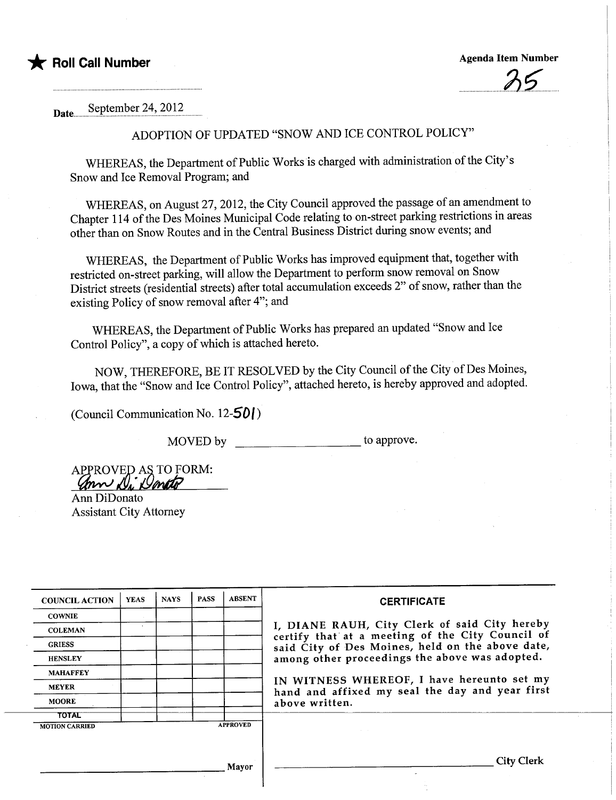

 $.05$ 

Date... September 24, 2012

# ADOPTION OF UPDATED "SNOW AND ICE CONTROL POLICY"

WHEREAS, the Department of Public Works is charged with administration of the City's Snow and Ice Removal Program; and

WHEREAS, on August 27, 2012, the City Council approved the passage of an amendment to Chapter 114 of the Des Moines Municipal Code relating to on-street parking restrictions in areas other than on Snow Routes and in the Central Business District during snow events; and

WHEREAS, the Deparment of Public Works has improved equipment that, together with restricted on-street parking, wil allow the Deparment to perform snow removal on Snow District streets (residential streets) after total accumulation exceeds 2" of snow, rather than the existing Policy of snow removal after 4"; and

WHEREAS, the Department of Public Works has prepared an updated "Snow and Ice Control Policy", a copy of which is attached hereto.

NOW, THEREFORE, BE IT RESOLVED by the City Council of the City of Des Moines, Iowa, that the "Snow and Ice Control Policy", attached hereto, is hereby approved and adopted.

(Council Communication No. 12-5DI)

MOVED by \_\_\_\_\_\_\_\_\_\_\_\_\_\_\_\_\_\_\_\_\_\_\_\_ to approve.

APPROVED AS TO FORM:<br>Com N. Donto

Ann DiDonato Assistant City Attorney

| <b>COUNCIL ACTION</b>                    | <b>YEAS</b> | <b>NAYS</b> | <b>PASS</b> | <b>ABSENT</b> | <b>CERTIFICATE</b>                                                                                                                                                                                                                                                                                                         |
|------------------------------------------|-------------|-------------|-------------|---------------|----------------------------------------------------------------------------------------------------------------------------------------------------------------------------------------------------------------------------------------------------------------------------------------------------------------------------|
| <b>COWNIE</b>                            |             |             |             |               |                                                                                                                                                                                                                                                                                                                            |
| <b>COLEMAN</b>                           |             |             |             |               | I, DIANE RAUH, City Clerk of said City hereby<br>certify that at a meeting of the City Council of<br>said City of Des Moines, held on the above date,<br>among other proceedings the above was adopted.<br>IN WITNESS WHEREOF, I have hereunto set my<br>hand and affixed my seal the day and year first<br>above written. |
| <b>GRIESS</b>                            |             |             |             |               |                                                                                                                                                                                                                                                                                                                            |
| <b>HENSLEY</b>                           |             |             |             |               |                                                                                                                                                                                                                                                                                                                            |
| <b>MAHAFFEY</b>                          |             |             |             |               |                                                                                                                                                                                                                                                                                                                            |
| <b>MEYER</b>                             |             |             |             |               |                                                                                                                                                                                                                                                                                                                            |
| <b>MOORE</b>                             |             |             |             |               |                                                                                                                                                                                                                                                                                                                            |
| <b>TOTAL</b>                             |             |             |             |               |                                                                                                                                                                                                                                                                                                                            |
| <b>APPROVED</b><br><b>MOTION CARRIED</b> |             |             |             |               |                                                                                                                                                                                                                                                                                                                            |
|                                          |             |             |             |               |                                                                                                                                                                                                                                                                                                                            |
|                                          |             |             |             |               |                                                                                                                                                                                                                                                                                                                            |
| Mayor                                    |             |             |             |               | City Clerk                                                                                                                                                                                                                                                                                                                 |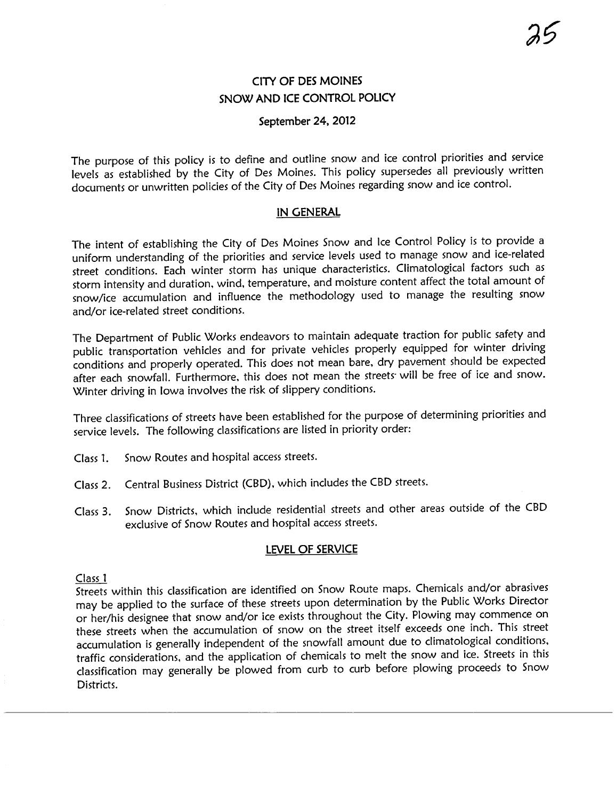# CITY OF DES MOINES SNOW AND ICE CONTROL POLICY

### September 24. 2012

The purpose of this policy is to define and outline snow and ice control priorities and service levels as established by the City of Des Moines. This policy supersedes all previously written documents or unwritten policies of the City of Des Moines regarding snow and ice control.

#### IN GENERAL

The intent of establishing the City of Des Moines Snow and Ice Control Policy is to provide a uniform understanding of the priorities and service levels used to manage snow and ice-related street conditions. Each winter storm has unique characteristics. Climatological factors such as storm intensity and duration, wind, temperature, and moisture content affect the total amount of snow/ice accumulation and influence the methodology used to manage the resulting snow and/or ice-related street conditions.

The Department of Public Works endeavors to maintain adequate traction for public safety and public transportation vehicles and for private vehicles properly equipped for winter driving conditions and properly operated. This does not mean bare, dry pavement should be expected after each snowfall. Furthermore, this does not mean the streets will be free of ice and snow. Winter driving in Iowa involves the risk of slippery conditions.

Three classifications of streets have been established for the purpose of determining priorities and service levels. The following classifications are listed in priority order:

- Class 1. Snow Routes and hospital access streets.
- Class 2. Central Business District (CBD), which includes the CBD streets.
- Class 3. Snow Districts, which include residential streets and other areas outside of the CBD exclusive of Snow Routes and hospital access streets.

### lEVEL OF SERVICE

#### Class 1

Streets within this classification are identified on Snow Route maps. Chemicals and/or abrasives may be applied to the surface of these streets upon determination by the Public Works Director or her/his designee that snow and/or ice exists throughout the City. Plowing may commence on these streets when the accumulation of snow on the street itself exceeds one inch. This street accumulation is generally independent of the snowfall amount due to climatological conditions, traffic considerations, and the application of chemicals to melt the snow and ice. Streets in this classification may generally be plowed from curb to curb before plowing proceeds to Snow Districts.